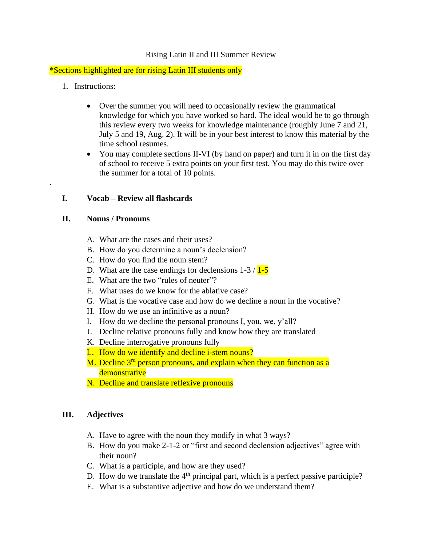### Rising Latin II and III Summer Review

\*Sections highlighted are for rising Latin III students only

1. Instructions:

.

- Over the summer you will need to occasionally review the grammatical knowledge for which you have worked so hard. The ideal would be to go through this review every two weeks for knowledge maintenance (roughly June 7 and 21, July 5 and 19, Aug. 2). It will be in your best interest to know this material by the time school resumes.
- You may complete sections II-VI (by hand on paper) and turn it in on the first day of school to receive 5 extra points on your first test. You may do this twice over the summer for a total of 10 points.

### **I. Vocab – Review all flashcards**

#### **II. Nouns / Pronouns**

- A. What are the cases and their uses?
- B. How do you determine a noun's declension?
- C. How do you find the noun stem?
- D. What are the case endings for declensions  $1-3/1-5$
- E. What are the two "rules of neuter"?
- F. What uses do we know for the ablative case?
- G. What is the vocative case and how do we decline a noun in the vocative?
- H. How do we use an infinitive as a noun?
- I. How do we decline the personal pronouns I, you, we, y'all?
- J. Decline relative pronouns fully and know how they are translated
- K. Decline interrogative pronouns fully
- L. How do we identify and decline i-stem nouns?
- M. Decline  $3<sup>rd</sup>$  person pronouns, and explain when they can function as a demonstrative
- N. Decline and translate reflexive pronouns

## **III. Adjectives**

- A. Have to agree with the noun they modify in what 3 ways?
- B. How do you make 2-1-2 or "first and second declension adjectives" agree with their noun?
- C. What is a participle, and how are they used?
- D. How do we translate the  $4<sup>th</sup>$  principal part, which is a perfect passive participle?
- E. What is a substantive adjective and how do we understand them?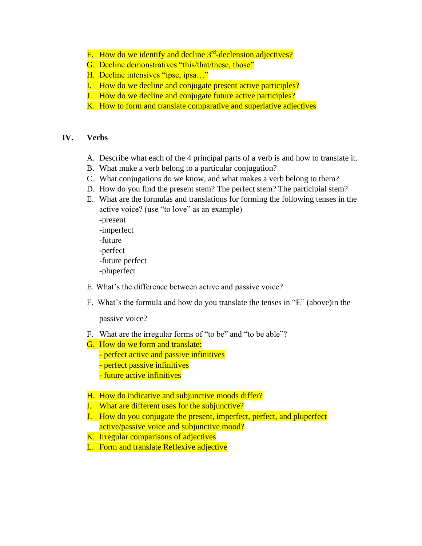- F. How do we identify and decline 3<sup>rd</sup>-declension adjectives?
- G. Decline demonstratives "this/that/these, those"
- H. Decline intensives "ipse, ipsa…"
- I. How do we decline and conjugate present active participles?
- J. How do we decline and conjugate future active participles?
- K. How to form and translate comparative and superlative adjectives

#### **IV. Verbs**

- A. Describe what each of the 4 principal parts of a verb is and how to translate it.
- B. What make a verb belong to a particular conjugation?
- C. What conjugations do we know, and what makes a verb belong to them?
- D. How do you find the present stem? The perfect stem? The participial stem?
- E. What are the formulas and translations for forming the following tenses in the active voice? (use "to love" as an example) -present -imperfect -future -perfect -future perfect -pluperfect
- E. What's the difference between active and passive voice?
- F. What's the formula and how do you translate the tenses in "E" (above)in the

passive voice?

- F. What are the irregular forms of "to be" and "to be able"?
- G. How do we form and translate: - perfect active and passive infinitives - perfect passive infinitives - future active infinitives
- H. How do indicative and subjunctive moods differ?
- I. What are different uses for the subjunctive?
- J. How do you conjugate the present, imperfect, perfect, and pluperfect active/passive voice and subjunctive mood?
- K. Irregular comparisons of adjectives
- L. Form and translate Reflexive adjective